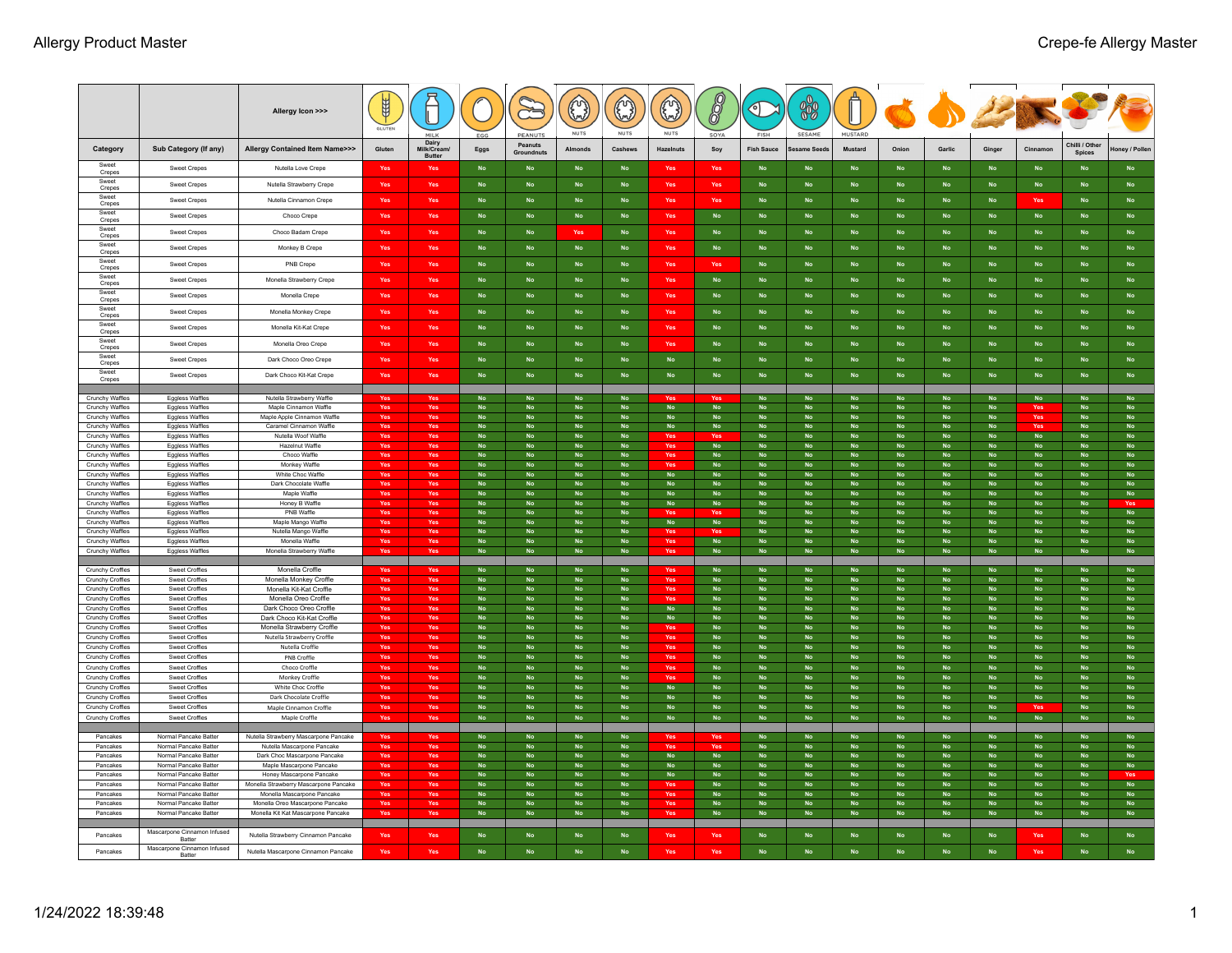|                                             |                                                  | Allergy Icon >>>                                                      | 鱼          |                                       |                        | PEANUTS                                 | 0<br><b>NUTS</b>                        | $\odot$<br><b>NUTS</b>     | ۞<br><b>NUTS</b>           | 8<br>SOYA              | C<br><b>FISH</b>           | 88<br>SESAME                            | <b>MUSTARD</b>              |                        |                         |                            | COPE                    |                                  |                            |
|---------------------------------------------|--------------------------------------------------|-----------------------------------------------------------------------|------------|---------------------------------------|------------------------|-----------------------------------------|-----------------------------------------|----------------------------|----------------------------|------------------------|----------------------------|-----------------------------------------|-----------------------------|------------------------|-------------------------|----------------------------|-------------------------|----------------------------------|----------------------------|
| Category                                    | Sub Category (If any)                            | <b>Allergy Contained Item Name&gt;&gt;&gt;</b>                        | Gluten     | Dairy<br>Milk/Cream/<br><b>Butter</b> | Eggs                   | Peanuts<br>Groundnuts                   | Almonds                                 | Cashews                    | Hazelnuts                  | Soy                    | <b>Fish Sauce</b>          | esame Seeds                             | Mustard                     | Onion                  | Garlic                  | Ginger                     | Cinnamor                | Chilli / Other<br><b>Spices</b>  | oney / Poller              |
| Sweet<br>Crepes                             | Sweet Crepes                                     | Nutella Love Crepe                                                    | Yes        | Yes                                   | <b>No</b>              | <b>No</b>                               | <b>No</b>                               | <b>No</b>                  | Yes                        | <b>Yes</b>             | <b>No</b>                  | <b>No</b>                               | <b>No</b>                   | <b>No</b>              | <b>No</b>               | <b>No</b>                  | <b>No</b>               | <b>No</b>                        | <b>No</b>                  |
| Sweet<br>Crepes                             | <b>Sweet Crepes</b>                              | Nutella Strawberry Crepe                                              | Yes        | Yes                                   | <b>No</b>              | <b>No</b>                               | <b>No</b>                               | <b>No</b>                  | Yes                        | Yes                    | <b>No</b>                  | <b>No</b>                               | <b>No</b>                   | <b>No</b>              | <b>No</b>               | No                         | <b>No</b>               | <b>No</b>                        | No                         |
| Sweet                                       | <b>Sweet Crepes</b>                              | Nutella Cinnamon Crepe                                                | Yes        | Yes                                   | <b>No</b>              | <b>No</b>                               | <b>No</b>                               | <b>No</b>                  | Yes                        | Yes                    | <b>No</b>                  | No                                      | <b>No</b>                   | <b>No</b>              | <b>No</b>               | No                         | Yes                     | <b>No</b>                        | <b>No</b>                  |
| Crepes<br>Sweet                             | Sweet Crepes                                     | Choco Crepe                                                           | Yes        | Yes                                   | <b>No</b>              | <b>No</b>                               | No                                      | <b>No</b>                  | Yes                        | No                     | No                         | $\mathop{\sf No}\nolimits$              | <b>No</b>                   | <b>No</b>              | <b>No</b>               | <b>No</b>                  | No                      | <b>No</b>                        | <b>No</b>                  |
| Crepes<br>Sweet                             | Sweet Crepes                                     | Choco Badam Crepe                                                     | Yes        | Yes                                   | <b>No</b>              | <b>No</b>                               | Yes                                     | <b>No</b>                  | Yes                        | <b>No</b>              | <b>No</b>                  | <b>No</b>                               | <b>No</b>                   | <b>No</b>              | <b>No</b>               | <b>No</b>                  | <b>No</b>               | <b>No</b>                        | <b>No</b>                  |
| Crepes<br>Sweet                             |                                                  |                                                                       | Yes        | Yes                                   | <b>No</b>              | <b>No</b>                               | <b>No</b>                               | <b>No</b>                  | Yes                        | <b>No</b>              | <b>No</b>                  |                                         | <b>No</b>                   | <b>No</b>              |                         | <b>No</b>                  |                         | <b>No</b>                        |                            |
| Crepes<br>Sweet                             | Sweet Crepes                                     | Monkey B Crepe                                                        |            |                                       |                        |                                         |                                         |                            |                            |                        |                            | ${\sf No}$                              |                             |                        | ${\sf No}$              |                            | $\mathsf{No}$           |                                  | ${\sf No}$                 |
| Crepes<br>Sweet                             | Sweet Crepes                                     | PNB Crepe                                                             | Yes        | Yes                                   | <b>No</b>              | No                                      | $\mathop{\sf No}\nolimits$              | <b>No</b>                  | Yes                        | Yes                    | $\mathop{\sf No}\nolimits$ | $\mathsf{No}$                           | <b>No</b>                   | ${\sf No}$             | ${\sf No}$              | No                         | ${\sf No}$              | <b>No</b>                        | $\mathop{\sf No}\nolimits$ |
| Crepes                                      | Sweet Crepes                                     | Monella Strawberry Crepe                                              | Yes        | Yes                                   | <b>No</b>              | <b>No</b>                               | <b>No</b>                               | <b>No</b>                  | <b>Yes</b>                 | <b>No</b>              | <b>No</b>                  | <b>No</b>                               | <b>No</b>                   | <b>No</b>              | <b>No</b>               | <b>No</b>                  | <b>No</b>               | <b>No</b>                        | <b>No</b>                  |
| Sweet<br>Crepes                             | Sweet Crepes                                     | Monella Crepe                                                         | Yes        | Yes                                   | <b>No</b>              | <b>No</b>                               | <b>No</b>                               | <b>No</b>                  | <b>Yes</b>                 | <b>No</b>              | <b>No</b>                  | <b>No</b>                               | <b>No</b>                   | <b>No</b>              | <b>No</b>               | <b>No</b>                  | <b>No</b>               | <b>No</b>                        | <b>No</b>                  |
| Sweet<br>Crepes                             | Sweet Crepes                                     | Monella Monkey Crepe                                                  | Yes        | Yes                                   | <b>No</b>              | <b>No</b>                               | <b>No</b>                               | <b>No</b>                  | Yes                        | <b>No</b>              | <b>No</b>                  | <b>No</b>                               | <b>No</b>                   | <b>No</b>              | <b>No</b>               | <b>No</b>                  | <b>No</b>               | <b>No</b>                        | <b>No</b>                  |
| Sweet<br>Crepes                             | Sweet Crepes                                     | Monella Kit-Kat Crepe                                                 | Yes        | Yes                                   | <b>No</b>              | <b>No</b>                               | <b>No</b>                               | <b>No</b>                  | Yes                        | <b>No</b>              | <b>No</b>                  | $\mathsf{No}$                           | <b>No</b>                   | <b>No</b>              | ${\sf No}$              | <b>No</b>                  | <b>No</b>               | <b>No</b>                        | No                         |
| Sweet<br>Crepes                             | Sweet Crepes                                     | Monella Oreo Crepe                                                    | Yes        | Yes                                   | <b>No</b>              | <b>No</b>                               | ${\sf No}$                              | $\mathop{\sf No}\nolimits$ | Yes                        | <b>No</b>              | <b>No</b>                  | $\mathsf{No}$                           | <b>No</b>                   | <b>No</b>              | ${\sf No}$              | $\mathop{\sf No}\nolimits$ | $\mathsf{No}$           | <b>No</b>                        | ${\sf No}$                 |
| Sweet<br>Crepes                             | Sweet Crepes                                     | Dark Choco Oreo Crepe                                                 | Yes        | Yes                                   | No                     | No                                      | $\mathop{\sf No}\nolimits$              | $\mathop{\sf No}\nolimits$ | ${\sf No}$                 | No                     | No                         | $\mathop{\sf No}\nolimits$              | ${\sf No}$                  | No                     | ${\sf No}$              | $\mathop{\sf No}\nolimits$ | ${\sf No}$              | ${\sf No}$                       | ${\sf No}$                 |
| Sweet<br>Crepes                             | Sweet Crepes                                     | Dark Choco Kit-Kat Crepe                                              | Yes        | Yes                                   | No                     | No                                      | $\mathop{\sf No}\nolimits$              | <b>No</b>                  | ${\sf No}$                 | No                     | <b>No</b>                  | No                                      | ${\sf No}$                  | No                     | No                      | <b>No</b>                  | ${\sf No}$              | No                               | No                         |
|                                             |                                                  |                                                                       |            |                                       |                        |                                         |                                         |                            |                            |                        |                            |                                         |                             |                        |                         |                            |                         |                                  |                            |
| Crunchy Waffles<br>Crunchy Waffles          | Eggless Waffles<br><b>Eggless Waffles</b>        | Nutella Strawberry Waffle<br>Maple Cinnamon Waffle                    | Yes<br>Yes | Yes<br>Yes                            | <b>No</b><br><b>No</b> | <b>No</b><br>No                         | <b>No</b><br>No                         | <b>No</b><br>$\mathsf{No}$ | No                         | Yes<br>No              | <b>No</b><br><b>No</b>     | <b>No</b><br>$\mathsf{No}$              | <b>No</b><br><b>No</b>      | <b>No</b><br>No        | <b>No</b><br>No         | <b>No</b><br><b>No</b>     | $\mathsf{No}$<br>Yes    | No<br>No                         | <b>No</b><br><b>No</b>     |
| <b>Crunchy Waffles</b>                      | Eggless Waffles                                  | Maple Apple Cinnamon Waffle                                           | Yes        | Yes                                   | <b>No</b>              | <b>No</b>                               | <b>No</b>                               | <b>No</b>                  | $\mathsf{No}$              | $\mathsf{No}$          | <b>No</b>                  | <b>No</b>                               | No                          | <b>No</b>              | $\mathsf{No}$           | <b>No</b>                  | Yes                     | <b>No</b>                        | <b>No</b>                  |
| Crunchy Waffles                             | <b>Eggless Waffles</b>                           | Caramel Cinnamon Waffle                                               | Yes        | Yes                                   | <b>No</b>              | <b>No</b>                               | <b>No</b>                               | <b>No</b>                  | <b>No</b>                  | <b>No</b>              | <b>No</b>                  | <b>No</b>                               | <b>No</b>                   | <b>No</b>              | <b>No</b>               | <b>No</b>                  |                         | <b>No</b>                        | <b>No</b>                  |
| Crunchy Waffles                             | <b>Eggless Waffles</b>                           | Nutella Woof Waffle                                                   | Yes<br>Yes | Yes                                   | <b>No</b><br><b>No</b> | <b>No</b><br><b>No</b>                  | No<br><b>No</b>                         | <b>No</b><br><b>No</b>     | Yes                        | No                     | <b>No</b><br><b>No</b>     | $\mathop{\sf No}\nolimits$<br><b>No</b> | <b>No</b><br>No             | <b>No</b><br><b>No</b> | No<br><b>No</b>         | <b>No</b><br><b>No</b>     | No<br><b>No</b>         | No<br><b>No</b>                  | <b>No</b><br><b>No</b>     |
| Crunchy Waffles<br>Crunchy Waffles          | Eggless Waffles<br><b>Eggless Waffles</b>        | Hazelnut Waffle<br>Choco Waffle                                       | Yes        | Yes                                   | <b>No</b>              | <b>No</b>                               | <b>No</b>                               | <b>No</b>                  | Yes                        | <b>No</b>              | <b>No</b>                  | <b>No</b>                               | <b>No</b>                   | <b>No</b>              | <b>No</b>               | <b>No</b>                  | <b>No</b>               | <b>No</b>                        | <b>No</b>                  |
| Crunchy Waffles                             | <b>Eggless Waffles</b>                           | Monkey Waffle                                                         | Yes        | Yes                                   | <b>No</b>              | <b>No</b>                               | <b>No</b>                               | <b>No</b>                  | Yes                        | No                     | <b>No</b>                  | No                                      | N <sub>c</sub>              | <b>No</b>              | No                      | <b>No</b>                  | <b>No</b>               | No                               | <b>No</b>                  |
| Crunchy Waffles                             | Eggless Waffles                                  | White Choc Waffle                                                     | Yes        |                                       | No                     | <b>No</b>                               | No                                      | <b>No</b>                  | ${\sf No}$                 | <b>No</b>              | <b>No</b>                  | No                                      | <b>No</b>                   | <b>No</b>              | <b>No</b>               | <b>No</b>                  | <b>No</b>               | No                               | <b>No</b>                  |
| Crunchy Waffles<br>Crunchy Waffles          | <b>Eggless Waffles</b><br><b>Eggless Waffles</b> | Dark Chocolate Waffle<br>Maple Waffle                                 | Yes<br>Yes | Yes<br>Yes                            | <b>No</b><br><b>No</b> | <b>No</b><br><b>No</b>                  | <b>No</b><br><b>No</b>                  | <b>No</b><br><b>No</b>     | <b>No</b><br>No            | <b>No</b><br><b>No</b> | <b>No</b><br><b>No</b>     | <b>No</b><br><b>No</b>                  | <b>No</b><br><b>No</b>      | <b>No</b><br><b>No</b> | <b>No</b><br><b>No</b>  | <b>No</b><br><b>No</b>     | <b>No</b><br><b>No</b>  | <b>No</b><br><b>No</b>           | <b>No</b><br><b>No</b>     |
| Crunchy Waffles                             | Eggless Waffles                                  | Honey B Waffle                                                        | Yes        | Yes                                   | <b>No</b>              | <b>No</b>                               | $\mathop{\sf No}\nolimits$              | <b>No</b>                  | No                         | <b>No</b>              | <b>No</b>                  | <b>No</b>                               | No                          | <b>No</b>              | <b>No</b>               | <b>No</b>                  | <b>No</b>               | $\mathop{\sf No}\nolimits$       | Yes                        |
| Crunchy Waffles                             | <b>Eggless Waffles</b>                           | PNB Waffle                                                            | Yes        | Yes                                   | <b>No</b>              | <b>No</b>                               | <b>No</b>                               | <b>No</b>                  | Yes                        | Yes                    | <b>No</b>                  | No                                      | <b>No</b>                   | <b>No</b>              | <b>No</b>               | <b>No</b>                  | <b>No</b>               | <b>No</b>                        | <b>No</b>                  |
| Crunchy Waffles<br>Crunchy Waffles          | <b>Eggless Waffles</b><br>Eggless Waffles        | Maple Mango Waffle<br>Nutella Mango Waffle                            | Yes<br>Yes | Yes<br>Yes                            | <b>No</b><br><b>No</b> | <b>No</b><br><b>No</b>                  | <b>No</b><br><b>No</b>                  | <b>No</b><br><b>No</b>     | $\mathop{\sf No}\nolimits$ | No                     | <b>No</b><br><b>No</b>     | <b>No</b><br>No                         | <b>No</b><br><b>No</b>      | <b>No</b><br><b>No</b> | <b>No</b><br>No         | <b>No</b><br><b>No</b>     | <b>No</b><br><b>No</b>  | <b>No</b><br><b>No</b>           | <b>No</b><br><b>No</b>     |
| Crunchy Waffles                             | Eggless Waffles                                  | Monella Waffle                                                        | Yes        | Yes                                   | <b>No</b>              | <b>No</b>                               | <b>No</b>                               | <b>No</b>                  |                            | <b>No</b>              | <b>No</b>                  | <b>No</b>                               | <b>No</b>                   | <b>No</b>              | <b>No</b>               | <b>No</b>                  | <b>No</b>               | <b>No</b>                        | <b>No</b>                  |
| Crunchy Waffles                             | <b>Eggless Waffles</b>                           | Monella Strawberry Waffle                                             | Yes        | Yes                                   | <b>No</b>              | No                                      | $\mathsf{No}$                           | <b>No</b>                  | Yes                        | No                     | <b>No</b>                  | No                                      | No                          | No                     | No                      | <b>No</b>                  | No                      | No                               | No                         |
| Crunchy Croffles                            | Sweet Croffles                                   | Monella Croffle                                                       | Yes        | Yes                                   | <b>No</b>              | <b>No</b>                               | <b>No</b>                               | <b>No</b>                  | Yes                        | <b>No</b>              | <b>No</b>                  | No                                      | <b>No</b>                   | <b>No</b>              | <b>No</b>               | <b>No</b>                  | <b>No</b>               | <b>No</b>                        | <b>No</b>                  |
| Crunchy Croffles                            | Sweet Croffles                                   | Monella Monkey Croffle                                                | Yes        | Yes                                   | No                     | <b>No</b>                               | <b>No</b>                               | <b>No</b>                  | Yes                        | <b>No</b>              | No                         | <b>No</b>                               | <b>No</b>                   | <b>No</b>              | <b>No</b>               | <b>No</b>                  | No                      | <b>No</b>                        | <b>No</b>                  |
| <b>Crunchy Croffles</b>                     | Sweet Croffles                                   | Monella Kit-Kat Croffle                                               | Yes        | Yes                                   | <b>No</b>              | <b>No</b>                               | <b>No</b>                               | <b>No</b>                  | Yes                        | <b>No</b>              | <b>No</b>                  | No                                      | <b>No</b>                   | <b>No</b>              | $\mathsf{No}$           | <b>No</b>                  | <b>No</b>               | <b>No</b>                        | <b>No</b>                  |
| Crunchy Croffles<br>Crunchy Croffles        | Sweet Croffles<br><b>Sweet Croffles</b>          | Monella Oreo Croffle<br>Dark Choco Oreo Croffle                       | Yes<br>Yes | Yes<br>Yes                            | <b>No</b><br><b>No</b> | <b>No</b><br>No                         | <b>No</b><br>No                         | <b>No</b><br><b>No</b>     | No                         | <b>No</b><br><b>No</b> | <b>No</b><br><b>No</b>     | <b>No</b><br>$\mathop{\sf No}\nolimits$ | <b>No</b><br>No             | <b>No</b><br><b>No</b> | <b>No</b><br>No         | <b>No</b><br><b>No</b>     | <b>No</b><br>No         | <b>No</b><br>No                  | <b>No</b><br><b>No</b>     |
| Crunchy Croffles                            | Sweet Croffles                                   | Dark Choco Kit-Kat Croffle                                            | Yes        |                                       | <b>No</b>              | <b>No</b>                               | <b>No</b>                               | <b>No</b>                  | No                         | <b>No</b>              | <b>No</b>                  | <b>No</b>                               | No                          | <b>No</b>              | <b>No</b>               | <b>No</b>                  | <b>No</b>               | No                               | <b>No</b>                  |
| Crunchy Croffles                            | Sweet Croffles                                   | Monella Strawberry Croffle                                            | Yes        | Yes                                   | <b>No</b>              | <b>No</b>                               | <b>No</b>                               | <b>No</b>                  | Yes                        | <b>No</b>              | <b>No</b>                  | <b>No</b>                               | <b>No</b>                   | <b>No</b>              | <b>No</b>               | <b>No</b>                  | <b>No</b>               | <b>No</b>                        | <b>No</b>                  |
| <b>Crunchy Croffles</b><br>Crunchy Croffles | Sweet Croffles<br>Sweet Croffles                 | Nutella Strawberry Croffle                                            | Yes<br>Yes | Yes                                   | <b>No</b><br><b>No</b> | <b>No</b><br>$\mathop{\sf No}\nolimits$ | <b>No</b><br>$\mathop{\sf No}\nolimits$ | <b>No</b><br><b>No</b>     | Yes                        | <b>No</b><br>No        | <b>No</b><br><b>No</b>     | <b>No</b><br>No                         | <b>No</b><br>${\sf No}$     | <b>No</b><br>No        | <b>No</b><br>${\sf No}$ | <b>No</b><br><b>No</b>     | <b>No</b><br>${\sf No}$ | <b>No</b><br>No                  | <b>No</b><br>${\sf No}$    |
| Crunchy Croffles                            | Sweet Croffles                                   | Nutella Croffle<br>PNB Croffle                                        | Yes        | Yes<br>Yes                            | <b>No</b>              | $\mathop{\sf No}\nolimits$              | $\mathop{\sf No}\nolimits$              | <b>No</b>                  | Yes<br>Yes                 | No                     | <b>No</b>                  | $\mathop{\sf No}\nolimits$              | <b>No</b>                   | <b>No</b>              | ${\sf No}$              | <b>No</b>                  | <b>No</b>               | $\mathop{\sf No}\nolimits$       | ${\sf No}$                 |
| Crunchy Croffles                            | Sweet Croffles                                   | Choco Croffle                                                         | Yes        |                                       | <b>No</b>              | <b>No</b>                               | <b>No</b>                               | <b>No</b>                  | Yes                        | <b>No</b>              | <b>No</b>                  | <b>No</b>                               | <b>No</b>                   | <b>No</b>              | <b>No</b>               | <b>No</b>                  | <b>No</b>               | <b>No</b>                        | <b>No</b>                  |
| Crunchy Croffles                            | Sweet Croffles                                   | Monkey Croffle                                                        | Yes        | Yes                                   | <b>No</b>              | <b>No</b>                               | <b>No</b>                               | <b>No</b>                  |                            | <b>No</b>              | <b>No</b>                  | No                                      | <b>No</b>                   | <b>No</b>              | <b>No</b>               | <b>No</b>                  | <b>No</b>               | <b>No</b>                        | <b>No</b>                  |
| Crunchy Croffles<br><b>Crunchy Croffles</b> | Sweet Croffles<br>Sweet Croffles                 | White Choc Croffle<br>Dark Chocolate Croffle                          | Yes<br>Yes | Yes<br>Yes                            | <b>No</b><br><b>No</b> | N <sub>0</sub><br><b>No</b>             | <b>No</b><br><b>No</b>                  | <b>No</b><br><b>No</b>     | <b>No</b><br><b>No</b>     | <b>No</b><br><b>No</b> | <b>No</b><br><b>No</b>     | <b>No</b><br><b>No</b>                  | <b>No</b><br><b>No</b>      | <b>No</b><br><b>No</b> | <b>No</b><br><b>No</b>  | <b>No</b><br><b>No</b>     | <b>No</b><br><b>No</b>  | <b>No</b><br><b>No</b>           | <b>No</b><br><b>No</b>     |
| Crunchy Croffles                            | Sweet Croffles                                   | Maple Cinnamon Croffle                                                | Yes        | Yes                                   | <b>No</b>              | <b>No</b>                               | No                                      | <b>No</b>                  | No                         | <b>No</b>              | <b>No</b>                  | No                                      | <b>No</b>                   | No                     | <b>No</b>               | <b>No</b>                  | Yes                     | No                               | No                         |
| Crunchy Croffles                            | Sweet Croffles                                   | Maple Croffle                                                         | Yes        | Yes                                   | ${\sf No}$             | No                                      | No                                      | <b>No</b>                  | ${\sf No}$                 | No                     | <b>No</b>                  | $\mathop{\sf No}\nolimits$              | <b>No</b>                   | No                     | No                      | $\mathop{\sf No}\nolimits$ | No                      | ${\sf No}$                       | No                         |
| Pancakes                                    | Normal Pancake Batter                            | Nutella Strawberry Mascarpone Pancake                                 | Yes        | Yes                                   | <b>No</b>              | <b>No</b>                               | <b>No</b>                               | <b>No</b>                  | Yes                        | Yes                    | <b>No</b>                  | <b>No</b>                               | <b>No</b>                   | <b>No</b>              | <b>No</b>               | <b>No</b>                  | <b>No</b>               | <b>No</b>                        | <b>No</b>                  |
| Pancakes                                    | Normal Pancake Batter                            | Nutella Mascarpone Pancake                                            | Yes        | Yes                                   | <b>No</b>              | <b>No</b>                               | <b>No</b>                               | <b>No</b>                  |                            |                        | No                         | <b>No</b>                               | No                          | <b>No</b>              | <b>No</b>               | <b>No</b>                  | No                      | $\mathsf{No}$                    | <b>No</b>                  |
| Pancakes                                    | Normal Pancake Batter                            | Dark Choc Mascarpone Pancake                                          | Yes        |                                       | <b>No</b>              | <b>No</b>                               | <b>No</b>                               | <b>No</b>                  | No                         | No                     | <b>No</b>                  | No                                      | <b>No</b>                   | <b>No</b>              | No                      | <b>No</b>                  | <b>No</b>               | <b>No</b>                        | <b>No</b>                  |
| Pancakes<br>Pancakes                        | Normal Pancake Batter<br>Normal Pancake Batter   | Maple Mascarpone Pancake<br>Honey Mascarpone Pancake                  | Yes<br>Yes | Yes<br>Yes                            | <b>No</b><br><b>No</b> | <b>No</b><br><b>No</b>                  | <b>No</b><br>$\mathop{\sf No}\nolimits$ | <b>No</b><br><b>No</b>     | <b>No</b><br>${\sf No}$    | <b>No</b><br>No        | <b>No</b><br><b>No</b>     | <b>No</b><br>$\mathop{\sf No}\nolimits$ | <b>No</b><br>No             | <b>No</b><br>No        | <b>No</b><br>${\sf No}$ | <b>No</b><br><b>No</b>     | <b>No</b><br>${\sf No}$ | <b>No</b><br>No                  | <b>No</b>                  |
| Pancakes                                    | Normal Pancake Batter                            | Monella Strawberry Mascarpone Pancake                                 | Yes        | Yes                                   | $\mathsf{No}$          | ${\sf No}$                              | ${\sf No}$                              | <b>No</b>                  |                            | No                     | <b>No</b>                  | ${\sf No}$                              | No                          | <b>No</b>              | $\mathsf{No}$           | <b>No</b>                  | $\mathsf{No}$           | ${\sf No}$                       | No                         |
| Pancakes                                    | Normal Pancake Batter                            | Monella Mascarpone Pancake                                            | Yes        | Yes                                   | <b>No</b>              | <b>No</b>                               | <b>No</b>                               | <b>No</b>                  | Yes                        | <b>No</b>              | <b>No</b>                  | <b>No</b>                               | <b>No</b>                   | <b>No</b>              | <b>No</b>               | <b>No</b>                  | <b>No</b>               | <b>No</b>                        | <b>No</b>                  |
| Pancakes<br>Pancakes                        | Normal Pancake Batter<br>Normal Pancake Batter   | Monella Oreo Mascarpone Pancake<br>Monella Kit Kat Mascarpone Pancake | Yes<br>Yes | Yes<br>Yes                            | <b>No</b><br><b>No</b> | <b>No</b><br><b>No</b>                  | $\mathop{\sf No}\nolimits$<br><b>No</b> | <b>No</b><br><b>No</b>     | Yes<br>Yes                 | <b>No</b><br><b>No</b> | <b>No</b><br><b>No</b>     | <b>No</b><br>No                         | <b>No</b><br>N <sub>c</sub> | <b>No</b><br><b>No</b> | ${\sf No}$<br><b>No</b> | <b>No</b><br><b>No</b>     | <b>No</b><br><b>No</b>  | $\mathop{\sf No}\nolimits$<br>No | <b>No</b><br><b>No</b>     |
|                                             |                                                  |                                                                       |            |                                       |                        |                                         |                                         |                            |                            |                        |                            |                                         |                             |                        |                         |                            |                         |                                  |                            |
| Pancakes                                    | Mascarpone Cinnamon Infused<br>Batter            | Nutella Strawberry Cinnamon Pancake                                   | Yes        | Yes                                   | <b>No</b>              | <b>No</b>                               | <b>No</b>                               | <b>No</b>                  | Yes                        | Yes                    | <b>No</b>                  | <b>No</b>                               | <b>No</b>                   | <b>No</b>              | <b>No</b>               | No                         | Yes                     | <b>No</b>                        | <b>No</b>                  |
| Pancakes                                    | Mascarpone Cinnamon Infused<br>Batter            | Nutella Mascarnone Cinnamon Pancake                                   | Yes        | Yes                                   | <b>No</b>              | <b>No</b>                               | <b>No</b>                               | <b>No</b>                  | Yes                        | Yes                    | <b>No</b>                  | <b>No</b>                               | <b>No</b>                   | <b>No</b>              | <b>No</b>               | <b>No</b>                  | Yes                     | <b>No</b>                        | <b>No</b>                  |